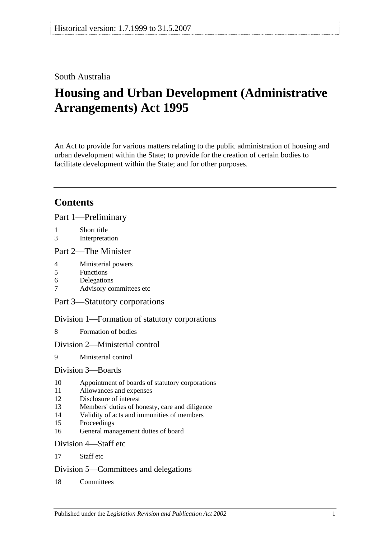## South Australia

# **Housing and Urban Development (Administrative Arrangements) Act 1995**

An Act to provide for various matters relating to the public administration of housing and urban development within the State; to provide for the creation of certain bodies to facilitate development within the State; and for other purposes.

## **Contents**

[Part 1—Preliminary](#page-1-0)

- 1 [Short title](#page-1-1)
- 3 [Interpretation](#page-2-0)

#### [Part 2—The Minister](#page-3-0)

- 4 [Ministerial powers](#page-3-1)
- 5 [Functions](#page-3-2)
- 6 [Delegations](#page-4-0)
- 7 [Advisory committees etc](#page-4-1)

[Part 3—Statutory corporations](#page-5-0)

[Division 1—Formation of statutory corporations](#page-5-1)

8 [Formation of bodies](#page-5-2)

#### [Division 2—Ministerial control](#page-6-0)

9 [Ministerial control](#page-6-1)

#### [Division 3—Boards](#page-6-2)

- 10 [Appointment of boards of statutory corporations](#page-6-3)
- 11 [Allowances and expenses](#page-7-0)
- 12 [Disclosure of interest](#page-7-1)
- 13 [Members' duties of honesty, care and diligence](#page-8-0)
- 14 [Validity of acts and immunities of members](#page-8-1)
- 15 [Proceedings](#page-9-0)
- 16 [General management duties of board](#page-9-1)

#### [Division 4—Staff etc](#page-10-0)

17 [Staff etc](#page-10-1)

#### [Division 5—Committees and delegations](#page-10-2)

18 [Committees](#page-10-3)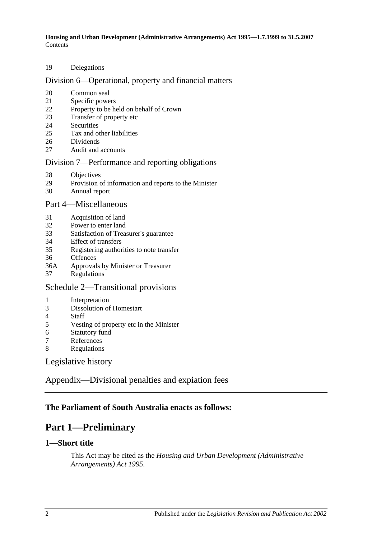#### [Delegations](#page-11-0)

#### [Division 6—Operational, property and financial matters](#page-11-1)

- [Common seal](#page-11-2)
- [Specific powers](#page-11-3)
- [Property to be held on behalf of Crown](#page-12-0)
- [Transfer of property etc](#page-12-1)
- [Securities](#page-12-2)
- [Tax and other liabilities](#page-13-0)
- [Dividends](#page-13-1)
- [Audit and accounts](#page-14-0)

#### [Division 7—Performance and reporting obligations](#page-14-1)

- [Objectives](#page-14-2)<br>29 Provision of
- [Provision of information and reports to the Minister](#page-15-0)
- [Annual report](#page-15-1)

#### [Part 4—Miscellaneous](#page-15-2)

- [Acquisition of land](#page-15-3)
- [Power to enter land](#page-15-4)
- [Satisfaction of Treasurer's guarantee](#page-16-0)
- [Effect of transfers](#page-16-1)
- [Registering authorities to note transfer](#page-16-2)
- [Offences](#page-16-3)
- 36A [Approvals by Minister or Treasurer](#page-16-4)
- [Regulations](#page-17-0)

#### [Schedule 2—Transitional provisions](#page-17-1)

- [Interpretation](#page-17-2)
- [Dissolution of Homestart](#page-17-3)
- [Staff](#page-18-0)
- [Vesting of property etc in the Minister](#page-18-1)
- [Statutory fund](#page-18-2)<br>7 References
- **[References](#page-18-3)**
- [Regulations](#page-19-0)

[Legislative history](#page-20-0)

[Appendix—Divisional penalties and expiation fees](#page-22-0)

#### <span id="page-1-0"></span>**The Parliament of South Australia enacts as follows:**

## **Part 1—Preliminary**

#### <span id="page-1-1"></span>**1—Short title**

This Act may be cited as the *Housing and Urban Development (Administrative Arrangements) Act 1995*.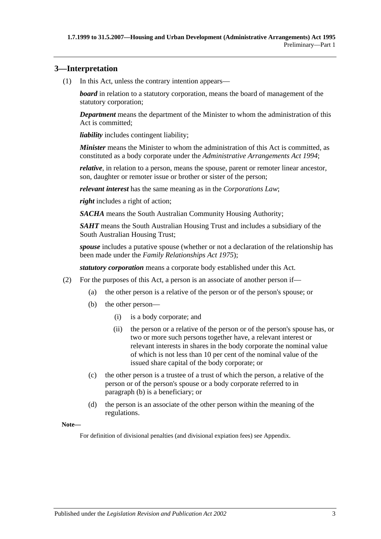#### <span id="page-2-0"></span>**3—Interpretation**

(1) In this Act, unless the contrary intention appears—

*board* in relation to a statutory corporation, means the board of management of the statutory corporation;

*Department* means the department of the Minister to whom the administration of this Act is committed;

*liability* includes contingent liability;

*Minister* means the Minister to whom the administration of this Act is committed, as constituted as a body corporate under the *[Administrative Arrangements Act](http://www.legislation.sa.gov.au/index.aspx?action=legref&type=act&legtitle=Administrative%20Arrangements%20Act%201994) 1994*;

*relative*, in relation to a person, means the spouse, parent or remoter linear ancestor, son, daughter or remoter issue or brother or sister of the person;

*relevant interest* has the same meaning as in the *Corporations Law*;

*right* includes a right of action:

*SACHA* means the South Australian Community Housing Authority;

*SAHT* means the South Australian Housing Trust and includes a subsidiary of the South Australian Housing Trust;

*spouse* includes a putative spouse (whether or not a declaration of the relationship has been made under the *[Family Relationships Act](http://www.legislation.sa.gov.au/index.aspx?action=legref&type=act&legtitle=Family%20Relationships%20Act%201975) 1975*);

*statutory corporation* means a corporate body established under this Act.

- <span id="page-2-1"></span>(2) For the purposes of this Act, a person is an associate of another person if—
	- (a) the other person is a relative of the person or of the person's spouse; or
	- (b) the other person—
		- (i) is a body corporate; and
		- (ii) the person or a relative of the person or of the person's spouse has, or two or more such persons together have, a relevant interest or relevant interests in shares in the body corporate the nominal value of which is not less than 10 per cent of the nominal value of the issued share capital of the body corporate; or
	- (c) the other person is a trustee of a trust of which the person, a relative of the person or of the person's spouse or a body corporate referred to in [paragraph](#page-2-1) (b) is a beneficiary; or
	- (d) the person is an associate of the other person within the meaning of the regulations.

**Note—**

For definition of divisional penalties (and divisional expiation fees) see Appendix.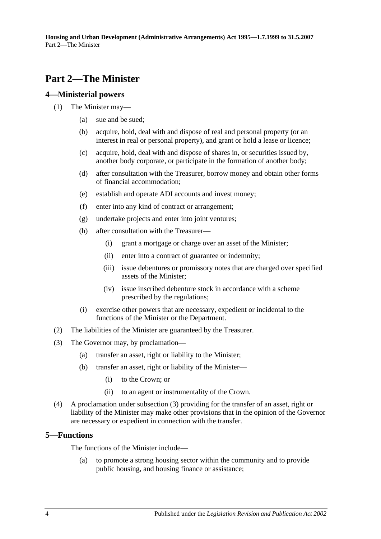## <span id="page-3-0"></span>**Part 2—The Minister**

#### <span id="page-3-1"></span>**4—Ministerial powers**

- (1) The Minister may—
	- (a) sue and be sued;
	- (b) acquire, hold, deal with and dispose of real and personal property (or an interest in real or personal property), and grant or hold a lease or licence;
	- (c) acquire, hold, deal with and dispose of shares in, or securities issued by, another body corporate, or participate in the formation of another body;
	- (d) after consultation with the Treasurer, borrow money and obtain other forms of financial accommodation;
	- (e) establish and operate ADI accounts and invest money;
	- (f) enter into any kind of contract or arrangement;
	- (g) undertake projects and enter into joint ventures;
	- (h) after consultation with the Treasurer—
		- (i) grant a mortgage or charge over an asset of the Minister;
		- (ii) enter into a contract of guarantee or indemnity;
		- (iii) issue debentures or promissory notes that are charged over specified assets of the Minister;
		- (iv) issue inscribed debenture stock in accordance with a scheme prescribed by the regulations;
	- (i) exercise other powers that are necessary, expedient or incidental to the functions of the Minister or the Department.
- (2) The liabilities of the Minister are guaranteed by the Treasurer.
- <span id="page-3-3"></span>(3) The Governor may, by proclamation—
	- (a) transfer an asset, right or liability to the Minister;
	- (b) transfer an asset, right or liability of the Minister—
		- (i) to the Crown; or
		- (ii) to an agent or instrumentality of the Crown.
- (4) A proclamation under [subsection](#page-3-3) (3) providing for the transfer of an asset, right or liability of the Minister may make other provisions that in the opinion of the Governor are necessary or expedient in connection with the transfer.

#### <span id="page-3-2"></span>**5—Functions**

The functions of the Minister include—

(a) to promote a strong housing sector within the community and to provide public housing, and housing finance or assistance;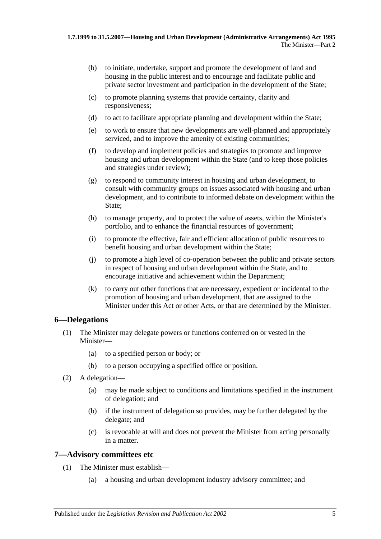- (b) to initiate, undertake, support and promote the development of land and housing in the public interest and to encourage and facilitate public and private sector investment and participation in the development of the State;
- (c) to promote planning systems that provide certainty, clarity and responsiveness;
- (d) to act to facilitate appropriate planning and development within the State;
- (e) to work to ensure that new developments are well-planned and appropriately serviced, and to improve the amenity of existing communities;
- (f) to develop and implement policies and strategies to promote and improve housing and urban development within the State (and to keep those policies and strategies under review);
- (g) to respond to community interest in housing and urban development, to consult with community groups on issues associated with housing and urban development, and to contribute to informed debate on development within the State;
- (h) to manage property, and to protect the value of assets, within the Minister's portfolio, and to enhance the financial resources of government;
- (i) to promote the effective, fair and efficient allocation of public resources to benefit housing and urban development within the State;
- (j) to promote a high level of co-operation between the public and private sectors in respect of housing and urban development within the State, and to encourage initiative and achievement within the Department;
- (k) to carry out other functions that are necessary, expedient or incidental to the promotion of housing and urban development, that are assigned to the Minister under this Act or other Acts, or that are determined by the Minister.

#### <span id="page-4-0"></span>**6—Delegations**

- (1) The Minister may delegate powers or functions conferred on or vested in the Minister—
	- (a) to a specified person or body; or
	- (b) to a person occupying a specified office or position.
- (2) A delegation—
	- (a) may be made subject to conditions and limitations specified in the instrument of delegation; and
	- (b) if the instrument of delegation so provides, may be further delegated by the delegate; and
	- (c) is revocable at will and does not prevent the Minister from acting personally in a matter.

#### <span id="page-4-1"></span>**7—Advisory committees etc**

- (1) The Minister must establish—
	- (a) a housing and urban development industry advisory committee; and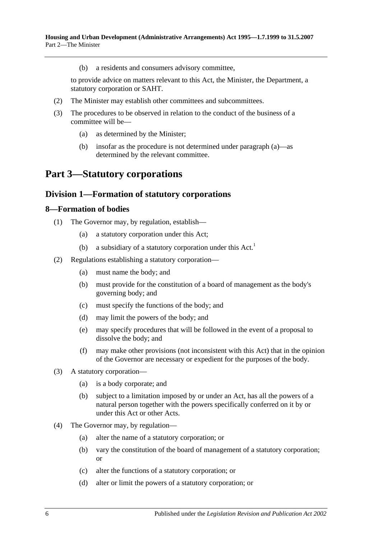(b) a residents and consumers advisory committee,

to provide advice on matters relevant to this Act, the Minister, the Department, a statutory corporation or SAHT.

- (2) The Minister may establish other committees and subcommittees.
- <span id="page-5-3"></span>(3) The procedures to be observed in relation to the conduct of the business of a committee will be—
	- (a) as determined by the Minister;
	- (b) insofar as the procedure is not determined under [paragraph](#page-5-3) (a)—as determined by the relevant committee.

## <span id="page-5-0"></span>**Part 3—Statutory corporations**

#### <span id="page-5-1"></span>**Division 1—Formation of statutory corporations**

#### <span id="page-5-2"></span>**8—Formation of bodies**

- (1) The Governor may, by regulation, establish—
	- (a) a statutory corporation under this Act;
	- (b) a subsidiary of a statutory corporation under this  $Act.$ <sup>1</sup>
- <span id="page-5-5"></span>(2) Regulations establishing a statutory corporation—
	- (a) must name the body; and
	- (b) must provide for the constitution of a board of management as the body's governing body; and
	- (c) must specify the functions of the body; and
	- (d) may limit the powers of the body; and
	- (e) may specify procedures that will be followed in the event of a proposal to dissolve the body; and
	- (f) may make other provisions (not inconsistent with this Act) that in the opinion of the Governor are necessary or expedient for the purposes of the body.
- <span id="page-5-4"></span>(3) A statutory corporation—
	- (a) is a body corporate; and
	- (b) subject to a limitation imposed by or under an Act, has all the powers of a natural person together with the powers specifically conferred on it by or under this Act or other Acts.
- (4) The Governor may, by regulation—
	- (a) alter the name of a statutory corporation; or
	- (b) vary the constitution of the board of management of a statutory corporation; or
	- (c) alter the functions of a statutory corporation; or
	- (d) alter or limit the powers of a statutory corporation; or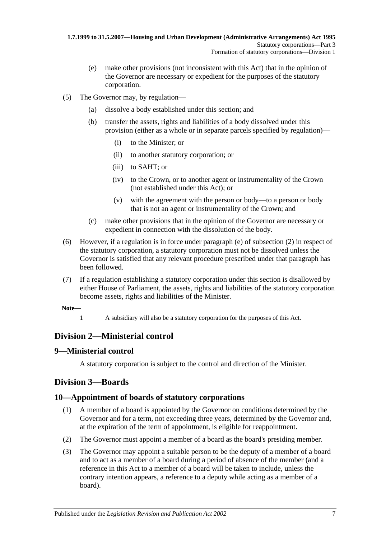- (e) make other provisions (not inconsistent with this Act) that in the opinion of the Governor are necessary or expedient for the purposes of the statutory corporation.
- (5) The Governor may, by regulation—
	- (a) dissolve a body established under this section; and
	- (b) transfer the assets, rights and liabilities of a body dissolved under this provision (either as a whole or in separate parcels specified by regulation)—
		- (i) to the Minister; or
		- (ii) to another statutory corporation; or
		- (iii) to SAHT; or
		- (iv) to the Crown, or to another agent or instrumentality of the Crown (not established under this Act); or
		- (v) with the agreement with the person or body—to a person or body that is not an agent or instrumentality of the Crown; and
	- (c) make other provisions that in the opinion of the Governor are necessary or expedient in connection with the dissolution of the body.
- (6) However, if a regulation is in force under [paragraph](#page-5-4) (e) of [subsection](#page-5-5) (2) in respect of the statutory corporation, a statutory corporation must not be dissolved unless the Governor is satisfied that any relevant procedure prescribed under that paragraph has been followed.
- (7) If a regulation establishing a statutory corporation under this section is disallowed by either House of Parliament, the assets, rights and liabilities of the statutory corporation become assets, rights and liabilities of the Minister.
- **Note—**
	- 1 A subsidiary will also be a statutory corporation for the purposes of this Act.

## <span id="page-6-0"></span>**Division 2—Ministerial control**

#### <span id="page-6-1"></span>**9—Ministerial control**

A statutory corporation is subject to the control and direction of the Minister.

## <span id="page-6-2"></span>**Division 3—Boards**

## <span id="page-6-3"></span>**10—Appointment of boards of statutory corporations**

- (1) A member of a board is appointed by the Governor on conditions determined by the Governor and for a term, not exceeding three years, determined by the Governor and, at the expiration of the term of appointment, is eligible for reappointment.
- (2) The Governor must appoint a member of a board as the board's presiding member.
- (3) The Governor may appoint a suitable person to be the deputy of a member of a board and to act as a member of a board during a period of absence of the member (and a reference in this Act to a member of a board will be taken to include, unless the contrary intention appears, a reference to a deputy while acting as a member of a board).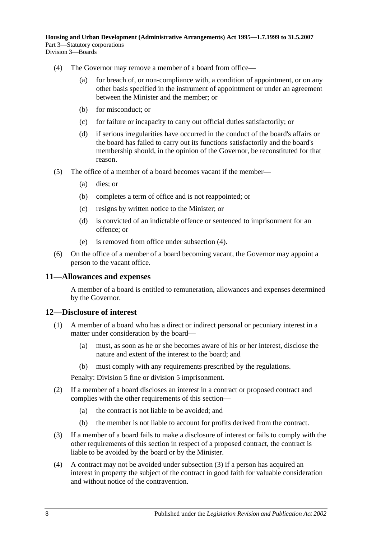- <span id="page-7-2"></span>(4) The Governor may remove a member of a board from office—
	- (a) for breach of, or non-compliance with, a condition of appointment, or on any other basis specified in the instrument of appointment or under an agreement between the Minister and the member; or
	- (b) for misconduct; or
	- (c) for failure or incapacity to carry out official duties satisfactorily; or
	- (d) if serious irregularities have occurred in the conduct of the board's affairs or the board has failed to carry out its functions satisfactorily and the board's membership should, in the opinion of the Governor, be reconstituted for that reason.
- (5) The office of a member of a board becomes vacant if the member—
	- (a) dies; or
	- (b) completes a term of office and is not reappointed; or
	- (c) resigns by written notice to the Minister; or
	- (d) is convicted of an indictable offence or sentenced to imprisonment for an offence; or
	- (e) is removed from office under [subsection](#page-7-2) (4).
- (6) On the office of a member of a board becoming vacant, the Governor may appoint a person to the vacant office.

#### <span id="page-7-0"></span>**11—Allowances and expenses**

A member of a board is entitled to remuneration, allowances and expenses determined by the Governor.

#### <span id="page-7-1"></span>**12—Disclosure of interest**

- (1) A member of a board who has a direct or indirect personal or pecuniary interest in a matter under consideration by the board—
	- (a) must, as soon as he or she becomes aware of his or her interest, disclose the nature and extent of the interest to the board; and
	- (b) must comply with any requirements prescribed by the regulations.

Penalty: Division 5 fine or division 5 imprisonment.

- (2) If a member of a board discloses an interest in a contract or proposed contract and complies with the other requirements of this section—
	- (a) the contract is not liable to be avoided; and
	- (b) the member is not liable to account for profits derived from the contract.
- <span id="page-7-3"></span>(3) If a member of a board fails to make a disclosure of interest or fails to comply with the other requirements of this section in respect of a proposed contract, the contract is liable to be avoided by the board or by the Minister.
- (4) A contract may not be avoided under [subsection](#page-7-3) (3) if a person has acquired an interest in property the subject of the contract in good faith for valuable consideration and without notice of the contravention.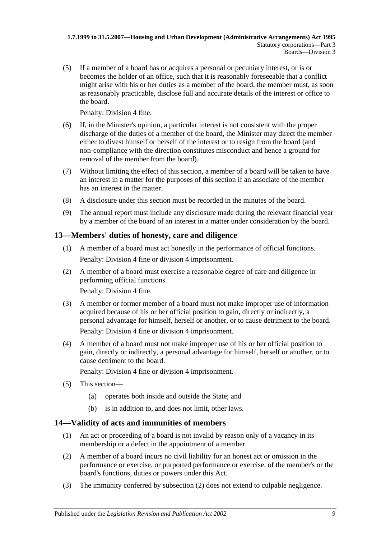(5) If a member of a board has or acquires a personal or pecuniary interest, or is or becomes the holder of an office, such that it is reasonably foreseeable that a conflict might arise with his or her duties as a member of the board, the member must, as soon as reasonably practicable, disclose full and accurate details of the interest or office to the board.

Penalty: Division 4 fine.

- (6) If, in the Minister's opinion, a particular interest is not consistent with the proper discharge of the duties of a member of the board, the Minister may direct the member either to divest himself or herself of the interest or to resign from the board (and non-compliance with the direction constitutes misconduct and hence a ground for removal of the member from the board).
- (7) Without limiting the effect of this section, a member of a board will be taken to have an interest in a matter for the purposes of this section if an associate of the member has an interest in the matter.
- (8) A disclosure under this section must be recorded in the minutes of the board.
- (9) The annual report must include any disclosure made during the relevant financial year by a member of the board of an interest in a matter under consideration by the board.

#### <span id="page-8-0"></span>**13—Members' duties of honesty, care and diligence**

- (1) A member of a board must act honestly in the performance of official functions. Penalty: Division 4 fine or division 4 imprisonment.
- (2) A member of a board must exercise a reasonable degree of care and diligence in performing official functions.

Penalty: Division 4 fine.

- (3) A member or former member of a board must not make improper use of information acquired because of his or her official position to gain, directly or indirectly, a personal advantage for himself, herself or another, or to cause detriment to the board. Penalty: Division 4 fine or division 4 imprisonment.
- (4) A member of a board must not make improper use of his or her official position to gain, directly or indirectly, a personal advantage for himself, herself or another, or to cause detriment to the board.

Penalty: Division 4 fine or division 4 imprisonment.

- (5) This section—
	- (a) operates both inside and outside the State; and
	- (b) is in addition to, and does not limit, other laws.

## <span id="page-8-1"></span>**14—Validity of acts and immunities of members**

- (1) An act or proceeding of a board is not invalid by reason only of a vacancy in its membership or a defect in the appointment of a member.
- <span id="page-8-2"></span>(2) A member of a board incurs no civil liability for an honest act or omission in the performance or exercise, or purported performance or exercise, of the member's or the board's functions, duties or powers under this Act.
- (3) The immunity conferred by [subsection](#page-8-2) (2) does not extend to culpable negligence.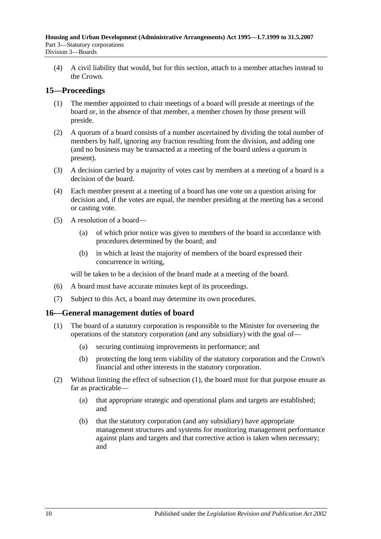(4) A civil liability that would, but for this section, attach to a member attaches instead to the Crown.

## <span id="page-9-0"></span>**15—Proceedings**

- (1) The member appointed to chair meetings of a board will preside at meetings of the board or, in the absence of that member, a member chosen by those present will preside.
- (2) A quorum of a board consists of a number ascertained by dividing the total number of members by half, ignoring any fraction resulting from the division, and adding one (and no business may be transacted at a meeting of the board unless a quorum is present).
- (3) A decision carried by a majority of votes cast by members at a meeting of a board is a decision of the board.
- (4) Each member present at a meeting of a board has one vote on a question arising for decision and, if the votes are equal, the member presiding at the meeting has a second or casting vote.
- (5) A resolution of a board—
	- (a) of which prior notice was given to members of the board in accordance with procedures determined by the board; and
	- (b) in which at least the majority of members of the board expressed their concurrence in writing,

will be taken to be a decision of the board made at a meeting of the board.

- (6) A board must have accurate minutes kept of its proceedings.
- (7) Subject to this Act, a board may determine its own procedures.

#### <span id="page-9-2"></span><span id="page-9-1"></span>**16—General management duties of board**

- (1) The board of a statutory corporation is responsible to the Minister for overseeing the operations of the statutory corporation (and any subsidiary) with the goal of—
	- (a) securing continuing improvements in performance; and
	- (b) protecting the long term viability of the statutory corporation and the Crown's financial and other interests in the statutory corporation.
- (2) Without limiting the effect of [subsection](#page-9-2) (1), the board must for that purpose ensure as far as practicable—
	- (a) that appropriate strategic and operational plans and targets are established; and
	- (b) that the statutory corporation (and any subsidiary) have appropriate management structures and systems for monitoring management performance against plans and targets and that corrective action is taken when necessary; and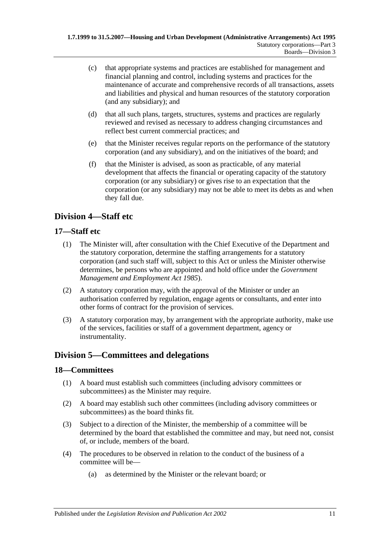- (c) that appropriate systems and practices are established for management and financial planning and control, including systems and practices for the maintenance of accurate and comprehensive records of all transactions, assets and liabilities and physical and human resources of the statutory corporation (and any subsidiary); and
- (d) that all such plans, targets, structures, systems and practices are regularly reviewed and revised as necessary to address changing circumstances and reflect best current commercial practices; and
- (e) that the Minister receives regular reports on the performance of the statutory corporation (and any subsidiary), and on the initiatives of the board; and
- (f) that the Minister is advised, as soon as practicable, of any material development that affects the financial or operating capacity of the statutory corporation (or any subsidiary) or gives rise to an expectation that the corporation (or any subsidiary) may not be able to meet its debts as and when they fall due.

## <span id="page-10-0"></span>**Division 4—Staff etc**

## <span id="page-10-1"></span>**17—Staff etc**

- (1) The Minister will, after consultation with the Chief Executive of the Department and the statutory corporation, determine the staffing arrangements for a statutory corporation (and such staff will, subject to this Act or unless the Minister otherwise determines, be persons who are appointed and hold office under the *[Government](http://www.legislation.sa.gov.au/index.aspx?action=legref&type=act&legtitle=Government%20Management%20and%20Employment%20Act%201985)  [Management and Employment Act](http://www.legislation.sa.gov.au/index.aspx?action=legref&type=act&legtitle=Government%20Management%20and%20Employment%20Act%201985) 1985*).
- (2) A statutory corporation may, with the approval of the Minister or under an authorisation conferred by regulation, engage agents or consultants, and enter into other forms of contract for the provision of services.
- (3) A statutory corporation may, by arrangement with the appropriate authority, make use of the services, facilities or staff of a government department, agency or instrumentality.

## <span id="page-10-2"></span>**Division 5—Committees and delegations**

## <span id="page-10-3"></span>**18—Committees**

- (1) A board must establish such committees (including advisory committees or subcommittees) as the Minister may require.
- (2) A board may establish such other committees (including advisory committees or subcommittees) as the board thinks fit.
- (3) Subject to a direction of the Minister, the membership of a committee will be determined by the board that established the committee and may, but need not, consist of, or include, members of the board.
- <span id="page-10-4"></span>(4) The procedures to be observed in relation to the conduct of the business of a committee will be—
	- (a) as determined by the Minister or the relevant board; or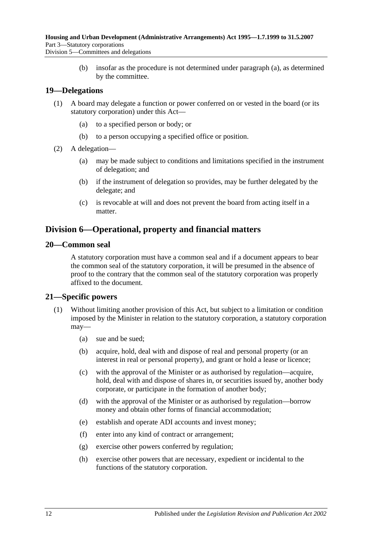(b) insofar as the procedure is not determined under [paragraph](#page-10-4) (a), as determined by the committee.

#### <span id="page-11-0"></span>**19—Delegations**

- (1) A board may delegate a function or power conferred on or vested in the board (or its statutory corporation) under this Act—
	- (a) to a specified person or body; or
	- (b) to a person occupying a specified office or position.
- (2) A delegation—
	- (a) may be made subject to conditions and limitations specified in the instrument of delegation; and
	- (b) if the instrument of delegation so provides, may be further delegated by the delegate; and
	- (c) is revocable at will and does not prevent the board from acting itself in a matter.

## <span id="page-11-1"></span>**Division 6—Operational, property and financial matters**

#### <span id="page-11-2"></span>**20—Common seal**

A statutory corporation must have a common seal and if a document appears to bear the common seal of the statutory corporation, it will be presumed in the absence of proof to the contrary that the common seal of the statutory corporation was properly affixed to the document.

#### <span id="page-11-3"></span>**21—Specific powers**

- <span id="page-11-4"></span>(1) Without limiting another provision of this Act, but subject to a limitation or condition imposed by the Minister in relation to the statutory corporation, a statutory corporation may—
	- (a) sue and be sued;
	- (b) acquire, hold, deal with and dispose of real and personal property (or an interest in real or personal property), and grant or hold a lease or licence;
	- (c) with the approval of the Minister or as authorised by regulation—acquire, hold, deal with and dispose of shares in, or securities issued by, another body corporate, or participate in the formation of another body;
	- (d) with the approval of the Minister or as authorised by regulation—borrow money and obtain other forms of financial accommodation;
	- (e) establish and operate ADI accounts and invest money;
	- (f) enter into any kind of contract or arrangement;
	- (g) exercise other powers conferred by regulation;
	- (h) exercise other powers that are necessary, expedient or incidental to the functions of the statutory corporation.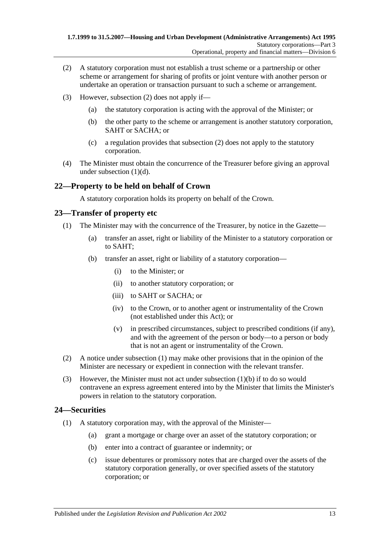- <span id="page-12-3"></span>(2) A statutory corporation must not establish a trust scheme or a partnership or other scheme or arrangement for sharing of profits or joint venture with another person or undertake an operation or transaction pursuant to such a scheme or arrangement.
- (3) However, [subsection](#page-12-3) (2) does not apply if—
	- (a) the statutory corporation is acting with the approval of the Minister; or
	- (b) the other party to the scheme or arrangement is another statutory corporation, SAHT or SACHA; or
	- (c) a regulation provides that [subsection](#page-12-3) (2) does not apply to the statutory corporation.
- (4) The Minister must obtain the concurrence of the Treasurer before giving an approval under [subsection](#page-11-4) (1)(d).

#### <span id="page-12-0"></span>**22—Property to be held on behalf of Crown**

A statutory corporation holds its property on behalf of the Crown.

#### <span id="page-12-4"></span><span id="page-12-1"></span>**23—Transfer of property etc**

- <span id="page-12-5"></span>(1) The Minister may with the concurrence of the Treasurer, by notice in the Gazette—
	- (a) transfer an asset, right or liability of the Minister to a statutory corporation or to SAHT;
	- (b) transfer an asset, right or liability of a statutory corporation—
		- (i) to the Minister; or
		- (ii) to another statutory corporation; or
		- (iii) to SAHT or SACHA; or
		- (iv) to the Crown, or to another agent or instrumentality of the Crown (not established under this Act); or
		- (v) in prescribed circumstances, subject to prescribed conditions (if any), and with the agreement of the person or body—to a person or body that is not an agent or instrumentality of the Crown.
- (2) A notice under [subsection](#page-12-4) (1) may make other provisions that in the opinion of the Minister are necessary or expedient in connection with the relevant transfer.
- (3) However, the Minister must not act under [subsection](#page-12-5) (1)(b) if to do so would contravene an express agreement entered into by the Minister that limits the Minister's powers in relation to the statutory corporation.

#### <span id="page-12-6"></span><span id="page-12-2"></span>**24—Securities**

- (1) A statutory corporation may, with the approval of the Minister—
	- (a) grant a mortgage or charge over an asset of the statutory corporation; or
	- (b) enter into a contract of guarantee or indemnity; or
	- (c) issue debentures or promissory notes that are charged over the assets of the statutory corporation generally, or over specified assets of the statutory corporation; or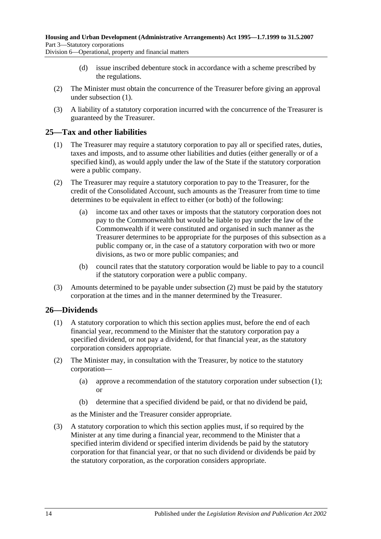Division 6—Operational, property and financial matters

- (d) issue inscribed debenture stock in accordance with a scheme prescribed by the regulations.
- (2) The Minister must obtain the concurrence of the Treasurer before giving an approval under [subsection](#page-12-6) (1).
- (3) A liability of a statutory corporation incurred with the concurrence of the Treasurer is guaranteed by the Treasurer.

#### <span id="page-13-0"></span>**25—Tax and other liabilities**

- (1) The Treasurer may require a statutory corporation to pay all or specified rates, duties, taxes and imposts, and to assume other liabilities and duties (either generally or of a specified kind), as would apply under the law of the State if the statutory corporation were a public company.
- <span id="page-13-2"></span>(2) The Treasurer may require a statutory corporation to pay to the Treasurer, for the credit of the Consolidated Account, such amounts as the Treasurer from time to time determines to be equivalent in effect to either (or both) of the following:
	- (a) income tax and other taxes or imposts that the statutory corporation does not pay to the Commonwealth but would be liable to pay under the law of the Commonwealth if it were constituted and organised in such manner as the Treasurer determines to be appropriate for the purposes of this subsection as a public company or, in the case of a statutory corporation with two or more divisions, as two or more public companies; and
	- (b) council rates that the statutory corporation would be liable to pay to a council if the statutory corporation were a public company.
- (3) Amounts determined to be payable under [subsection](#page-13-2) (2) must be paid by the statutory corporation at the times and in the manner determined by the Treasurer.

## <span id="page-13-3"></span><span id="page-13-1"></span>**26—Dividends**

- (1) A statutory corporation to which this section applies must, before the end of each financial year, recommend to the Minister that the statutory corporation pay a specified dividend, or not pay a dividend, for that financial year, as the statutory corporation considers appropriate.
- (2) The Minister may, in consultation with the Treasurer, by notice to the statutory corporation—
	- (a) approve a recommendation of the statutory corporation under [subsection](#page-13-3) (1); or
	- (b) determine that a specified dividend be paid, or that no dividend be paid,

as the Minister and the Treasurer consider appropriate.

<span id="page-13-4"></span>(3) A statutory corporation to which this section applies must, if so required by the Minister at any time during a financial year, recommend to the Minister that a specified interim dividend or specified interim dividends be paid by the statutory corporation for that financial year, or that no such dividend or dividends be paid by the statutory corporation, as the corporation considers appropriate.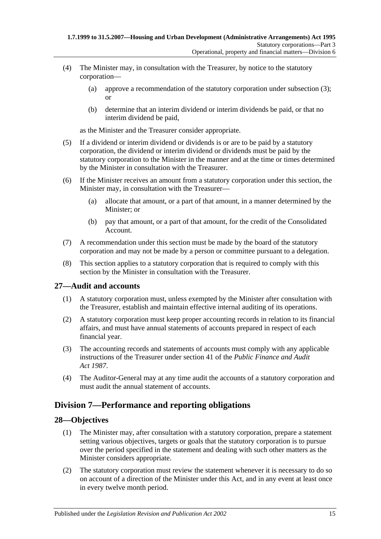- (4) The Minister may, in consultation with the Treasurer, by notice to the statutory corporation—
	- (a) approve a recommendation of the statutory corporation under [subsection](#page-13-4) (3); or
	- (b) determine that an interim dividend or interim dividends be paid, or that no interim dividend be paid,

as the Minister and the Treasurer consider appropriate.

- (5) If a dividend or interim dividend or dividends is or are to be paid by a statutory corporation, the dividend or interim dividend or dividends must be paid by the statutory corporation to the Minister in the manner and at the time or times determined by the Minister in consultation with the Treasurer.
- (6) If the Minister receives an amount from a statutory corporation under this section, the Minister may, in consultation with the Treasurer—
	- (a) allocate that amount, or a part of that amount, in a manner determined by the Minister; or
	- (b) pay that amount, or a part of that amount, for the credit of the Consolidated Account.
- (7) A recommendation under this section must be made by the board of the statutory corporation and may not be made by a person or committee pursuant to a delegation.
- (8) This section applies to a statutory corporation that is required to comply with this section by the Minister in consultation with the Treasurer.

## <span id="page-14-0"></span>**27—Audit and accounts**

- (1) A statutory corporation must, unless exempted by the Minister after consultation with the Treasurer, establish and maintain effective internal auditing of its operations.
- (2) A statutory corporation must keep proper accounting records in relation to its financial affairs, and must have annual statements of accounts prepared in respect of each financial year.
- (3) The accounting records and statements of accounts must comply with any applicable instructions of the Treasurer under section 41 of the *[Public Finance and Audit](http://www.legislation.sa.gov.au/index.aspx?action=legref&type=act&legtitle=Public%20Finance%20and%20Audit%20Act%201987)  Act [1987](http://www.legislation.sa.gov.au/index.aspx?action=legref&type=act&legtitle=Public%20Finance%20and%20Audit%20Act%201987)*.
- (4) The Auditor-General may at any time audit the accounts of a statutory corporation and must audit the annual statement of accounts.

## <span id="page-14-1"></span>**Division 7—Performance and reporting obligations**

#### <span id="page-14-2"></span>**28—Objectives**

- (1) The Minister may, after consultation with a statutory corporation, prepare a statement setting various objectives, targets or goals that the statutory corporation is to pursue over the period specified in the statement and dealing with such other matters as the Minister considers appropriate.
- (2) The statutory corporation must review the statement whenever it is necessary to do so on account of a direction of the Minister under this Act, and in any event at least once in every twelve month period.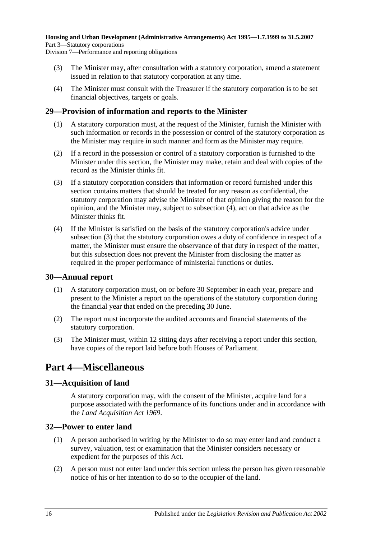- (3) The Minister may, after consultation with a statutory corporation, amend a statement issued in relation to that statutory corporation at any time.
- (4) The Minister must consult with the Treasurer if the statutory corporation is to be set financial objectives, targets or goals.

#### <span id="page-15-0"></span>**29—Provision of information and reports to the Minister**

- (1) A statutory corporation must, at the request of the Minister, furnish the Minister with such information or records in the possession or control of the statutory corporation as the Minister may require in such manner and form as the Minister may require.
- (2) If a record in the possession or control of a statutory corporation is furnished to the Minister under this section, the Minister may make, retain and deal with copies of the record as the Minister thinks fit.
- <span id="page-15-6"></span>(3) If a statutory corporation considers that information or record furnished under this section contains matters that should be treated for any reason as confidential, the statutory corporation may advise the Minister of that opinion giving the reason for the opinion, and the Minister may, subject to [subsection](#page-15-5) (4), act on that advice as the Minister thinks fit.
- <span id="page-15-5"></span>(4) If the Minister is satisfied on the basis of the statutory corporation's advice under [subsection](#page-15-6) (3) that the statutory corporation owes a duty of confidence in respect of a matter, the Minister must ensure the observance of that duty in respect of the matter, but this subsection does not prevent the Minister from disclosing the matter as required in the proper performance of ministerial functions or duties.

#### <span id="page-15-1"></span>**30—Annual report**

- (1) A statutory corporation must, on or before 30 September in each year, prepare and present to the Minister a report on the operations of the statutory corporation during the financial year that ended on the preceding 30 June.
- (2) The report must incorporate the audited accounts and financial statements of the statutory corporation.
- (3) The Minister must, within 12 sitting days after receiving a report under this section, have copies of the report laid before both Houses of Parliament.

## <span id="page-15-2"></span>**Part 4—Miscellaneous**

#### <span id="page-15-3"></span>**31—Acquisition of land**

A statutory corporation may, with the consent of the Minister, acquire land for a purpose associated with the performance of its functions under and in accordance with the *[Land Acquisition Act](http://www.legislation.sa.gov.au/index.aspx?action=legref&type=act&legtitle=Land%20Acquisition%20Act%201969) 1969*.

#### <span id="page-15-4"></span>**32—Power to enter land**

- (1) A person authorised in writing by the Minister to do so may enter land and conduct a survey, valuation, test or examination that the Minister considers necessary or expedient for the purposes of this Act.
- (2) A person must not enter land under this section unless the person has given reasonable notice of his or her intention to do so to the occupier of the land.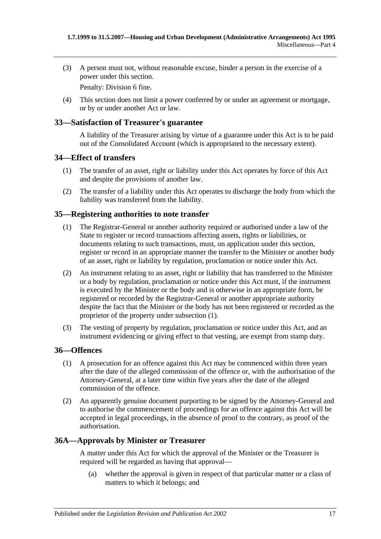(3) A person must not, without reasonable excuse, hinder a person in the exercise of a power under this section.

Penalty: Division 6 fine.

(4) This section does not limit a power conferred by or under an agreement or mortgage, or by or under another Act or law.

#### <span id="page-16-0"></span>**33—Satisfaction of Treasurer's guarantee**

A liability of the Treasurer arising by virtue of a guarantee under this Act is to be paid out of the Consolidated Account (which is appropriated to the necessary extent).

#### <span id="page-16-1"></span>**34—Effect of transfers**

- (1) The transfer of an asset, right or liability under this Act operates by force of this Act and despite the provisions of another law.
- (2) The transfer of a liability under this Act operates to discharge the body from which the liability was transferred from the liability.

#### <span id="page-16-5"></span><span id="page-16-2"></span>**35—Registering authorities to note transfer**

- (1) The Registrar-General or another authority required or authorised under a law of the State to register or record transactions affecting assets, rights or liabilities, or documents relating to such transactions, must, on application under this section, register or record in an appropriate manner the transfer to the Minister or another body of an asset, right or liability by regulation, proclamation or notice under this Act.
- (2) An instrument relating to an asset, right or liability that has transferred to the Minister or a body by regulation, proclamation or notice under this Act must, if the instrument is executed by the Minister or the body and is otherwise in an appropriate form, be registered or recorded by the Registrar-General or another appropriate authority despite the fact that the Minister or the body has not been registered or recorded as the proprietor of the property under [subsection](#page-16-5) (1).
- (3) The vesting of property by regulation, proclamation or notice under this Act, and an instrument evidencing or giving effect to that vesting, are exempt from stamp duty.

#### <span id="page-16-3"></span>**36—Offences**

- (1) A prosecution for an offence against this Act may be commenced within three years after the date of the alleged commission of the offence or, with the authorisation of the Attorney-General, at a later time within five years after the date of the alleged commission of the offence.
- (2) An apparently genuine document purporting to be signed by the Attorney-General and to authorise the commencement of proceedings for an offence against this Act will be accepted in legal proceedings, in the absence of proof to the contrary, as proof of the authorisation.

#### <span id="page-16-4"></span>**36A—Approvals by Minister or Treasurer**

A matter under this Act for which the approval of the Minister or the Treasurer is required will be regarded as having that approval—

(a) whether the approval is given in respect of that particular matter or a class of matters to which it belongs; and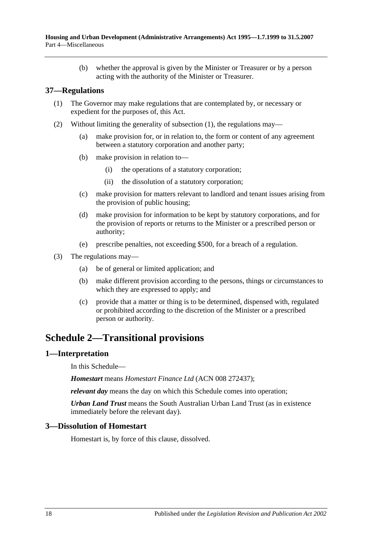(b) whether the approval is given by the Minister or Treasurer or by a person acting with the authority of the Minister or Treasurer.

#### <span id="page-17-4"></span><span id="page-17-0"></span>**37—Regulations**

- (1) The Governor may make regulations that are contemplated by, or necessary or expedient for the purposes of, this Act.
- (2) Without limiting the generality of [subsection](#page-17-4) (1), the regulations may—
	- (a) make provision for, or in relation to, the form or content of any agreement between a statutory corporation and another party;
	- (b) make provision in relation to—
		- (i) the operations of a statutory corporation;
		- (ii) the dissolution of a statutory corporation;
	- (c) make provision for matters relevant to landlord and tenant issues arising from the provision of public housing;
	- (d) make provision for information to be kept by statutory corporations, and for the provision of reports or returns to the Minister or a prescribed person or authority;
	- (e) prescribe penalties, not exceeding \$500, for a breach of a regulation.
- (3) The regulations may—
	- (a) be of general or limited application; and
	- (b) make different provision according to the persons, things or circumstances to which they are expressed to apply; and
	- (c) provide that a matter or thing is to be determined, dispensed with, regulated or prohibited according to the discretion of the Minister or a prescribed person or authority.

## <span id="page-17-1"></span>**Schedule 2—Transitional provisions**

#### <span id="page-17-2"></span>**1—Interpretation**

In this Schedule—

*Homestart* means *Homestart Finance Ltd* (ACN 008 272437);

*relevant day* means the day on which this Schedule comes into operation;

*Urban Land Trust* means the South Australian Urban Land Trust (as in existence immediately before the relevant day).

#### <span id="page-17-3"></span>**3—Dissolution of Homestart**

Homestart is, by force of this clause, dissolved.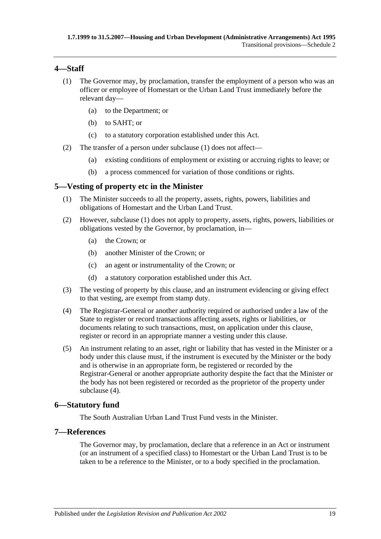#### <span id="page-18-4"></span><span id="page-18-0"></span>**4—Staff**

- (1) The Governor may, by proclamation, transfer the employment of a person who was an officer or employee of Homestart or the Urban Land Trust immediately before the relevant day—
	- (a) to the Department; or
	- (b) to SAHT; or
	- (c) to a statutory corporation established under this Act.
- (2) The transfer of a person under [subclause](#page-18-4) (1) does not affect—
	- (a) existing conditions of employment or existing or accruing rights to leave; or
	- (b) a process commenced for variation of those conditions or rights.

#### <span id="page-18-5"></span><span id="page-18-1"></span>**5—Vesting of property etc in the Minister**

- (1) The Minister succeeds to all the property, assets, rights, powers, liabilities and obligations of Homestart and the Urban Land Trust.
- (2) However, [subclause](#page-18-5) (1) does not apply to property, assets, rights, powers, liabilities or obligations vested by the Governor, by proclamation, in—
	- (a) the Crown; or
	- (b) another Minister of the Crown; or
	- (c) an agent or instrumentality of the Crown; or
	- (d) a statutory corporation established under this Act.
- (3) The vesting of property by this clause, and an instrument evidencing or giving effect to that vesting, are exempt from stamp duty.
- <span id="page-18-6"></span>(4) The Registrar-General or another authority required or authorised under a law of the State to register or record transactions affecting assets, rights or liabilities, or documents relating to such transactions, must, on application under this clause, register or record in an appropriate manner a vesting under this clause.
- (5) An instrument relating to an asset, right or liability that has vested in the Minister or a body under this clause must, if the instrument is executed by the Minister or the body and is otherwise in an appropriate form, be registered or recorded by the Registrar-General or another appropriate authority despite the fact that the Minister or the body has not been registered or recorded as the proprietor of the property under [subclause](#page-18-6) (4).

## <span id="page-18-2"></span>**6—Statutory fund**

The South Australian Urban Land Trust Fund vests in the Minister.

#### <span id="page-18-3"></span>**7—References**

The Governor may, by proclamation, declare that a reference in an Act or instrument (or an instrument of a specified class) to Homestart or the Urban Land Trust is to be taken to be a reference to the Minister, or to a body specified in the proclamation.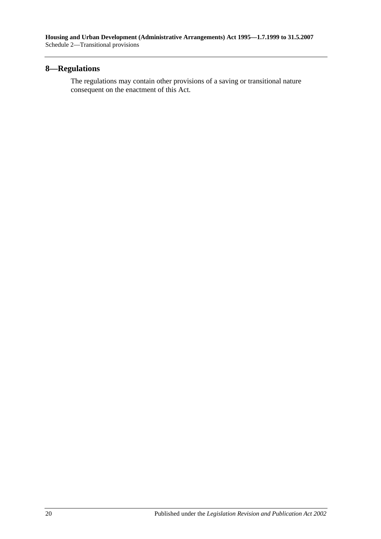## <span id="page-19-0"></span>**8—Regulations**

The regulations may contain other provisions of a saving or transitional nature consequent on the enactment of this Act.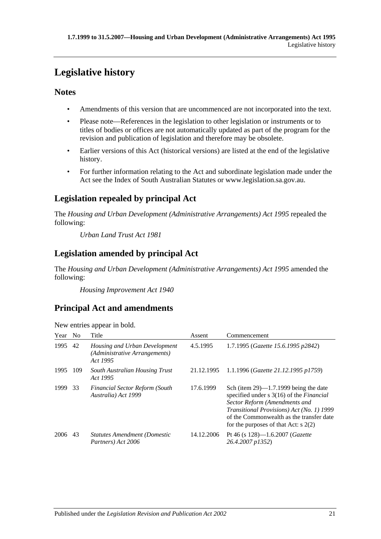# <span id="page-20-0"></span>**Legislative history**

## **Notes**

- Amendments of this version that are uncommenced are not incorporated into the text.
- Please note—References in the legislation to other legislation or instruments or to titles of bodies or offices are not automatically updated as part of the program for the revision and publication of legislation and therefore may be obsolete.
- Earlier versions of this Act (historical versions) are listed at the end of the legislative history.
- For further information relating to the Act and subordinate legislation made under the Act see the Index of South Australian Statutes or www.legislation.sa.gov.au.

## **Legislation repealed by principal Act**

The *Housing and Urban Development (Administrative Arrangements) Act 1995* repealed the following:

*Urban Land Trust Act 1981*

## **Legislation amended by principal Act**

The *Housing and Urban Development (Administrative Arrangements) Act 1995* amended the following:

*Housing Improvement Act 1940*

## **Principal Act and amendments**

| Year | N <sub>0</sub> | Title                                                                      | Assent     | Commencement                                                                                                                                                                                                                                                                 |
|------|----------------|----------------------------------------------------------------------------|------------|------------------------------------------------------------------------------------------------------------------------------------------------------------------------------------------------------------------------------------------------------------------------------|
| 1995 | 42             | Housing and Urban Development<br>(Administrative Arrangements)<br>Act 1995 | 4.5.1995   | 1.7.1995 (Gazette 15.6.1995 p2842)                                                                                                                                                                                                                                           |
| 1995 | 109            | South Australian Housing Trust<br>Act 1995                                 | 21.12.1995 | 1.1.1996 (Gazette 21.12.1995 p1759)                                                                                                                                                                                                                                          |
| 1999 | 33             | <b>Financial Sector Reform (South</b><br>Australia) Act 1999               | 17.6.1999  | Sch (item $29$ )—1.7.1999 being the date<br>specified under $s \, 3(16)$ of the <i>Financial</i><br>Sector Reform (Amendments and<br><i>Transitional Provisions</i> ) Act (No. 1) 1999<br>of the Commonwealth as the transfer date<br>for the purposes of that Act: $s$ 2(2) |
| 2006 | 43             | <b>Statutes Amendment (Domestic</b><br>Partners) Act 2006                  | 14.12.2006 | Pt 46 (s $128$ )—1.6.2007 ( <i>Gazette</i><br>26.4.2007 p1352)                                                                                                                                                                                                               |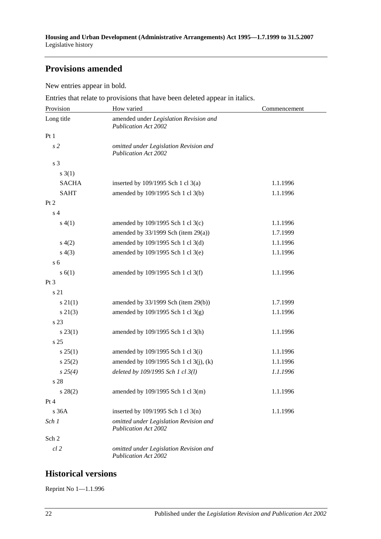## **Provisions amended**

New entries appear in bold.

Entries that relate to provisions that have been deleted appear in italics.

| Provision       | How varied                                                            | Commencement |
|-----------------|-----------------------------------------------------------------------|--------------|
| Long title      | amended under Legislation Revision and<br><b>Publication Act 2002</b> |              |
| Pt 1            |                                                                       |              |
| s <sub>2</sub>  | omitted under Legislation Revision and<br><b>Publication Act 2002</b> |              |
| s 3             |                                                                       |              |
| $s \; 3(1)$     |                                                                       |              |
| <b>SACHA</b>    | inserted by $109/1995$ Sch 1 cl 3(a)                                  | 1.1.1996     |
| <b>SAHT</b>     | amended by 109/1995 Sch 1 cl 3(b)                                     | 1.1.1996     |
| Pt 2            |                                                                       |              |
| s <sub>4</sub>  |                                                                       |              |
| s(4(1))         | amended by 109/1995 Sch 1 cl 3(c)                                     | 1.1.1996     |
|                 | amended by $33/1999$ Sch (item 29(a))                                 | 1.7.1999     |
| s(4(2)          | amended by 109/1995 Sch 1 cl 3(d)                                     | 1.1.1996     |
| s(4(3))         | amended by 109/1995 Sch 1 cl 3(e)                                     | 1.1.1996     |
| s <sub>6</sub>  |                                                                       |              |
| s(6(1))         | amended by 109/1995 Sch 1 cl 3(f)                                     | 1.1.1996     |
| Pt 3            |                                                                       |              |
| s 21            |                                                                       |              |
| $s \, 21(1)$    | amended by $33/1999$ Sch (item 29(b))                                 | 1.7.1999     |
| $s \, 21(3)$    | amended by 109/1995 Sch 1 cl 3(g)                                     | 1.1.1996     |
| s 23            |                                                                       |              |
| $s\,23(1)$      | amended by 109/1995 Sch 1 cl 3(h)                                     | 1.1.1996     |
| s <sub>25</sub> |                                                                       |              |
| $s \, 25(1)$    | amended by 109/1995 Sch 1 cl 3(i)                                     | 1.1.1996     |
| s 25(2)         | amended by 109/1995 Sch 1 cl 3(j), (k)                                | 1.1.1996     |
| $s\,25(4)$      | deleted by 109/1995 Sch 1 cl 3(l)                                     | 1.1.1996     |
| s 28            |                                                                       |              |
| $s\ 28(2)$      | amended by 109/1995 Sch 1 cl 3(m)                                     | 1.1.1996     |
| Pt 4            |                                                                       |              |
| s36A            | inserted by $109/1995$ Sch 1 cl 3(n)                                  | 1.1.1996     |
| Sch 1           | omitted under Legislation Revision and<br><b>Publication Act 2002</b> |              |
| Sch 2           |                                                                       |              |
| $cl$ $2$        | omitted under Legislation Revision and<br><b>Publication Act 2002</b> |              |

## **Historical versions**

Reprint No 1—1.1.996